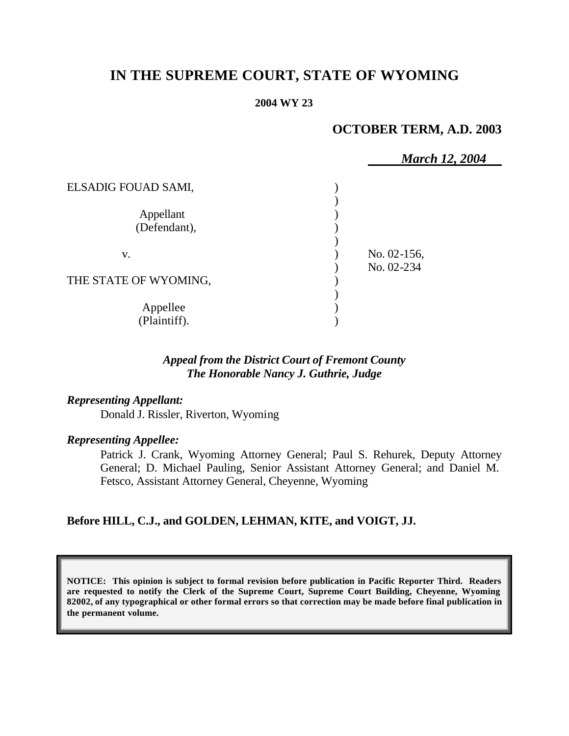# **IN THE SUPREME COURT, STATE OF WYOMING**

#### **2004 WY 23**

## **OCTOBER TERM, A.D. 2003**

|                           | <b>March 12, 2004</b>     |  |
|---------------------------|---------------------------|--|
| ELSADIG FOUAD SAMI,       |                           |  |
| Appellant<br>(Defendant), |                           |  |
| V.                        | No. 02-156,<br>No. 02-234 |  |
| THE STATE OF WYOMING,     |                           |  |
| Appellee<br>(Plaintiff).  |                           |  |

## *Appeal from the District Court of Fremont County The Honorable Nancy J. Guthrie, Judge*

### *Representing Appellant:*

Donald J. Rissler, Riverton, Wyoming

#### *Representing Appellee:*

Patrick J. Crank, Wyoming Attorney General; Paul S. Rehurek, Deputy Attorney General; D. Michael Pauling, Senior Assistant Attorney General; and Daniel M. Fetsco, Assistant Attorney General, Cheyenne, Wyoming

#### **Before HILL, C.J., and GOLDEN, LEHMAN, KITE, and VOIGT, JJ.**

**NOTICE: This opinion is subject to formal revision before publication in Pacific Reporter Third. Readers are requested to notify the Clerk of the Supreme Court, Supreme Court Building, Cheyenne, Wyoming 82002, of any typographical or other formal errors so that correction may be made before final publication in the permanent volume.**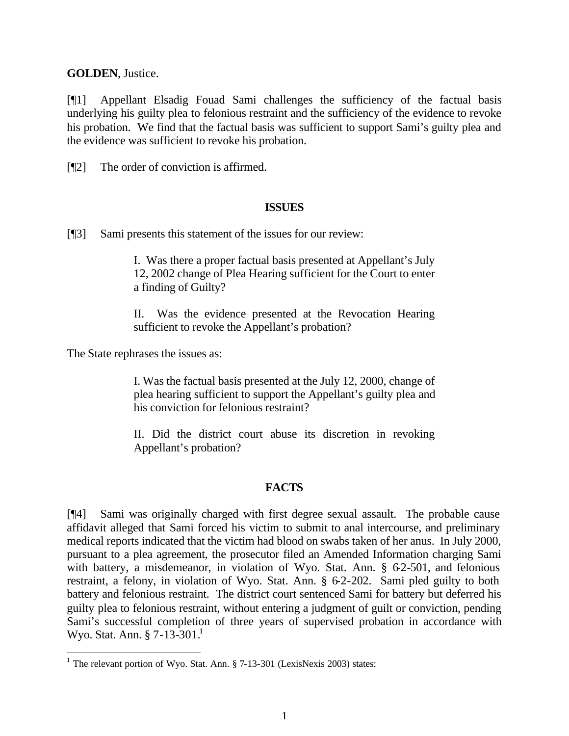**GOLDEN**, Justice.

[¶1] Appellant Elsadig Fouad Sami challenges the sufficiency of the factual basis underlying his guilty plea to felonious restraint and the sufficiency of the evidence to revoke his probation. We find that the factual basis was sufficient to support Sami's guilty plea and the evidence was sufficient to revoke his probation.

[¶2] The order of conviction is affirmed.

### **ISSUES**

[¶3] Sami presents this statement of the issues for our review:

I. Was there a proper factual basis presented at Appellant's July 12, 2002 change of Plea Hearing sufficient for the Court to enter a finding of Guilty?

II. Was the evidence presented at the Revocation Hearing sufficient to revoke the Appellant's probation?

The State rephrases the issues as:

l

I. Was the factual basis presented at the July 12, 2000, change of plea hearing sufficient to support the Appellant's guilty plea and his conviction for felonious restraint?

II. Did the district court abuse its discretion in revoking Appellant's probation?

## **FACTS**

[¶4] Sami was originally charged with first degree sexual assault. The probable cause affidavit alleged that Sami forced his victim to submit to anal intercourse, and preliminary medical reports indicated that the victim had blood on swabs taken of her anus. In July 2000, pursuant to a plea agreement, the prosecutor filed an Amended Information charging Sami with battery, a misdemeanor, in violation of Wyo. Stat. Ann.  $\S$  62-501, and felonious restraint, a felony, in violation of Wyo. Stat. Ann. § 6-2-202. Sami pled guilty to both battery and felonious restraint. The district court sentenced Sami for battery but deferred his guilty plea to felonious restraint, without entering a judgment of guilt or conviction, pending Sami's successful completion of three years of supervised probation in accordance with Wyo. Stat. Ann.  $\S 7-13-301$ <sup>1</sup>

<sup>&</sup>lt;sup>1</sup> The relevant portion of Wyo. Stat. Ann. § 7-13-301 (LexisNexis 2003) states: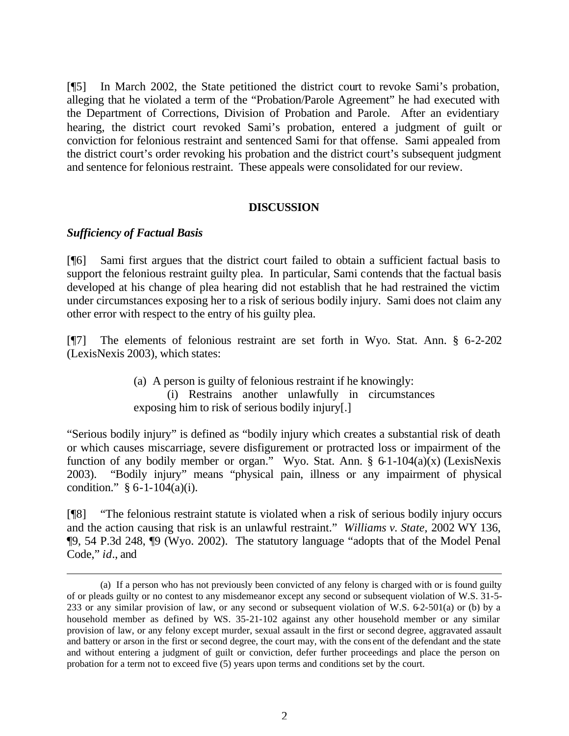[¶5] In March 2002, the State petitioned the district court to revoke Sami's probation, alleging that he violated a term of the "Probation/Parole Agreement" he had executed with the Department of Corrections, Division of Probation and Parole. After an evidentiary hearing, the district court revoked Sami's probation, entered a judgment of guilt or conviction for felonious restraint and sentenced Sami for that offense. Sami appealed from the district court's order revoking his probation and the district court's subsequent judgment and sentence for felonious restraint. These appeals were consolidated for our review.

#### **DISCUSSION**

#### *Sufficiency of Factual Basis*

l

[¶6] Sami first argues that the district court failed to obtain a sufficient factual basis to support the felonious restraint guilty plea. In particular, Sami contends that the factual basis developed at his change of plea hearing did not establish that he had restrained the victim under circumstances exposing her to a risk of serious bodily injury. Sami does not claim any other error with respect to the entry of his guilty plea.

[¶7] The elements of felonious restraint are set forth in Wyo. Stat. Ann. § 6-2-202 (LexisNexis 2003), which states:

> (a) A person is guilty of felonious restraint if he knowingly: (i) Restrains another unlawfully in circumstances exposing him to risk of serious bodily injury[.]

"Serious bodily injury" is defined as "bodily injury which creates a substantial risk of death or which causes miscarriage, severe disfigurement or protracted loss or impairment of the function of any bodily member or organ." Wyo. Stat. Ann. §  $6-1-104(a)(x)$  (LexisNexis 2003). "Bodily injury" means "physical pain, illness or any impairment of physical condition."  $§ 6-1-104(a)(i)$ .

[¶8] "The felonious restraint statute is violated when a risk of serious bodily injury occurs and the action causing that risk is an unlawful restraint." *Williams v. State,* 2002 WY 136, ¶9, 54 P.3d 248, ¶9 (Wyo. 2002). The statutory language "adopts that of the Model Penal Code," *id.*, and

<sup>(</sup>a) If a person who has not previously been convicted of any felony is charged with or is found guilty of or pleads guilty or no contest to any misdemeanor except any second or subsequent violation of W.S. 31-5- 233 or any similar provision of law, or any second or subsequent violation of W.S. 6-2-501(a) or (b) by a household member as defined by W.S. 35-21-102 against any other household member or any similar provision of law, or any felony except murder, sexual assault in the first or second degree, aggravated assault and battery or arson in the first or second degree, the court may, with the cons ent of the defendant and the state and without entering a judgment of guilt or conviction, defer further proceedings and place the person on probation for a term not to exceed five (5) years upon terms and conditions set by the court.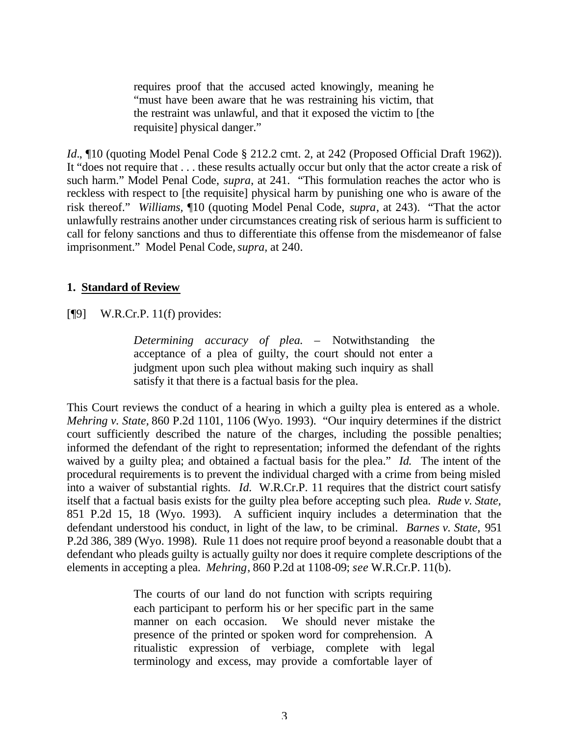requires proof that the accused acted knowingly, meaning he "must have been aware that he was restraining his victim, that the restraint was unlawful, and that it exposed the victim to [the requisite] physical danger."

*Id.*, **[10** (quoting Model Penal Code § 212.2 cmt. 2, at 242 (Proposed Official Draft 1962)). It "does not require that . . . these results actually occur but only that the actor create a risk of such harm." Model Penal Code, *supra*, at 241. "This formulation reaches the actor who is reckless with respect to [the requisite] physical harm by punishing one who is aware of the risk thereof." *Williams,* ¶10 (quoting Model Penal Code, *supra*, at 243). "That the actor unlawfully restrains another under circumstances creating risk of serious harm is sufficient to call for felony sanctions and thus to differentiate this offense from the misdemeanor of false imprisonment." Model Penal Code, *supra,* at 240.

### **1. Standard of Review**

## [¶9] W.R.Cr.P. 11(f) provides:

*Determining accuracy of plea.* – Notwithstanding the acceptance of a plea of guilty, the court should not enter a judgment upon such plea without making such inquiry as shall satisfy it that there is a factual basis for the plea.

This Court reviews the conduct of a hearing in which a guilty plea is entered as a whole. *Mehring v. State,* 860 P.2d 1101, 1106 (Wyo. 1993). "Our inquiry determines if the district court sufficiently described the nature of the charges, including the possible penalties; informed the defendant of the right to representation; informed the defendant of the rights waived by a guilty plea; and obtained a factual basis for the plea." *Id.* The intent of the procedural requirements is to prevent the individual charged with a crime from being misled into a waiver of substantial rights. *Id.* W.R.Cr.P. 11 requires that the district court satisfy itself that a factual basis exists for the guilty plea before accepting such plea. *Rude v. State,*  851 P.2d 15, 18 (Wyo. 1993). A sufficient inquiry includes a determination that the defendant understood his conduct, in light of the law, to be criminal. *Barnes v. State,* 951 P.2d 386, 389 (Wyo. 1998). Rule 11 does not require proof beyond a reasonable doubt that a defendant who pleads guilty is actually guilty nor does it require complete descriptions of the elements in accepting a plea. *Mehring*, 860 P.2d at 1108-09; *see* W.R.Cr.P. 11(b).

> The courts of our land do not function with scripts requiring each participant to perform his or her specific part in the same manner on each occasion. We should never mistake the presence of the printed or spoken word for comprehension. A ritualistic expression of verbiage, complete with legal terminology and excess, may provide a comfortable layer of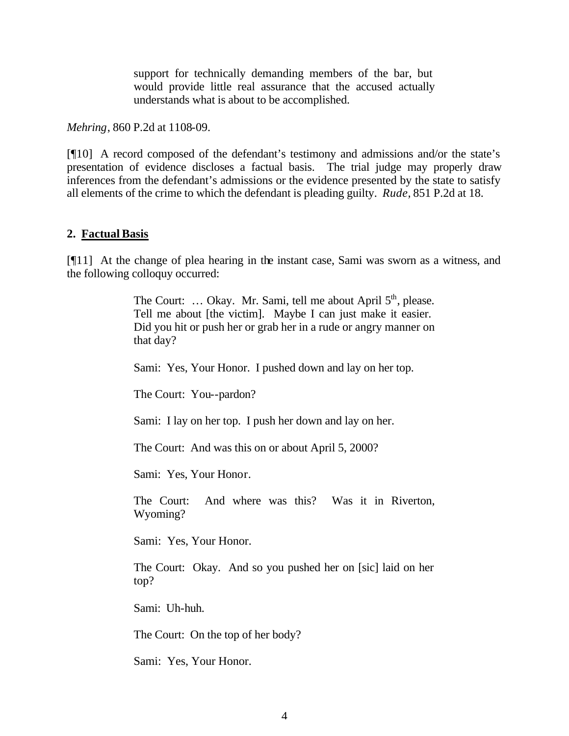support for technically demanding members of the bar, but would provide little real assurance that the accused actually understands what is about to be accomplished.

*Mehring*, 860 P.2d at 1108-09.

[¶10] A record composed of the defendant's testimony and admissions and/or the state's presentation of evidence discloses a factual basis. The trial judge may properly draw inferences from the defendant's admissions or the evidence presented by the state to satisfy all elements of the crime to which the defendant is pleading guilty. *Rude,* 851 P.2d at 18.

### **2. Factual Basis**

[¶11] At the change of plea hearing in the instant case, Sami was sworn as a witness, and the following colloquy occurred:

> The Court: ... Okay. Mr. Sami, tell me about April  $5<sup>th</sup>$ , please. Tell me about [the victim]. Maybe I can just make it easier. Did you hit or push her or grab her in a rude or angry manner on that day?

Sami: Yes, Your Honor. I pushed down and lay on her top.

The Court: You--pardon?

Sami: I lay on her top. I push her down and lay on her.

The Court: And was this on or about April 5, 2000?

Sami: Yes, Your Honor.

The Court: And where was this? Was it in Riverton, Wyoming?

Sami: Yes, Your Honor.

The Court: Okay. And so you pushed her on [sic] laid on her top?

Sami: Uh-huh.

The Court: On the top of her body?

Sami: Yes, Your Honor.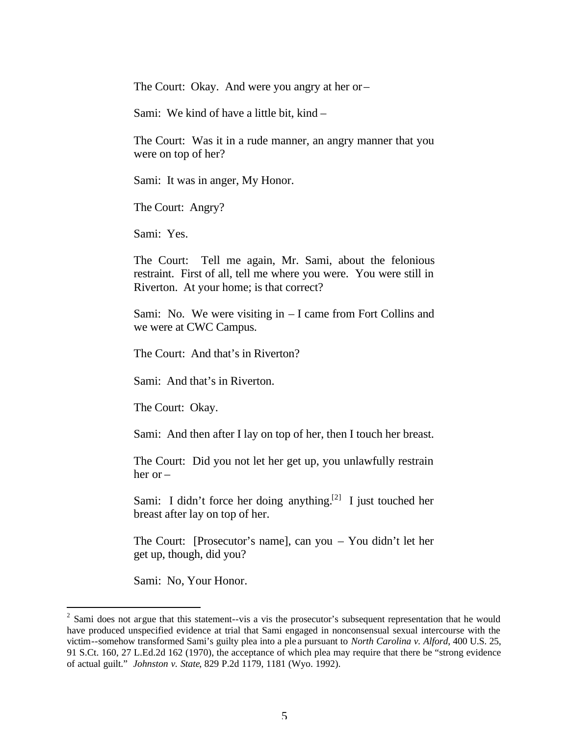The Court: Okay. And were you angry at her or –

Sami: We kind of have a little bit, kind –

The Court: Was it in a rude manner, an angry manner that you were on top of her?

Sami: It was in anger, My Honor.

The Court: Angry?

Sami: Yes.

The Court: Tell me again, Mr. Sami, about the felonious restraint. First of all, tell me where you were. You were still in Riverton. At your home; is that correct?

Sami: No. We were visiting in – I came from Fort Collins and we were at CWC Campus.

The Court: And that's in Riverton?

Sami: And that's in Riverton.

The Court: Okay.

Sami: And then after I lay on top of her, then I touch her breast.

The Court: Did you not let her get up, you unlawfully restrain her or –

Sami: I didn't force her doing anything.<sup>[2]</sup> I just touched her breast after lay on top of her.

The Court: [Prosecutor's name], can you – You didn't let her get up, though, did you?

Sami: No, Your Honor.

l

 $2^{2}$  Sami does not argue that this statement--vis a vis the prosecutor's subsequent representation that he would have produced unspecified evidence at trial that Sami engaged in nonconsensual sexual intercourse with the victim--somehow transformed Sami's guilty plea into a ple a pursuant to *North Carolina v. Alford*, 400 U.S. 25, 91 S.Ct. 160, 27 L.Ed.2d 162 (1970), the acceptance of which plea may require that there be "strong evidence of actual guilt." *Johnston v. State*, 829 P.2d 1179, 1181 (Wyo. 1992).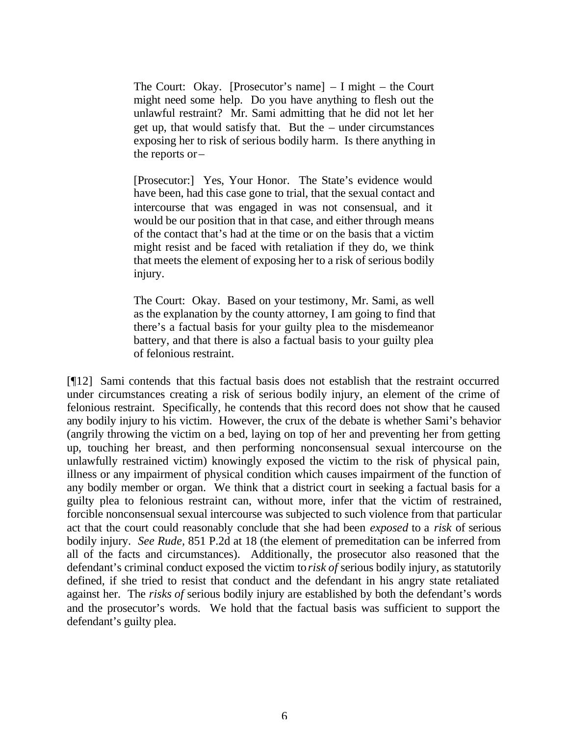The Court: Okay. [Prosecutor's name]  $- I$  might  $-$  the Court might need some help. Do you have anything to flesh out the unlawful restraint? Mr. Sami admitting that he did not let her get up, that would satisfy that. But the – under circumstances exposing her to risk of serious bodily harm. Is there anything in the reports or –

[Prosecutor:] Yes, Your Honor. The State's evidence would have been, had this case gone to trial, that the sexual contact and intercourse that was engaged in was not consensual, and it would be our position that in that case, and either through means of the contact that's had at the time or on the basis that a victim might resist and be faced with retaliation if they do, we think that meets the element of exposing her to a risk of serious bodily injury.

The Court: Okay. Based on your testimony, Mr. Sami, as well as the explanation by the county attorney, I am going to find that there's a factual basis for your guilty plea to the misdemeanor battery, and that there is also a factual basis to your guilty plea of felonious restraint.

[¶12] Sami contends that this factual basis does not establish that the restraint occurred under circumstances creating a risk of serious bodily injury, an element of the crime of felonious restraint. Specifically, he contends that this record does not show that he caused any bodily injury to his victim. However, the crux of the debate is whether Sami's behavior (angrily throwing the victim on a bed, laying on top of her and preventing her from getting up, touching her breast, and then performing nonconsensual sexual intercourse on the unlawfully restrained victim) knowingly exposed the victim to the risk of physical pain, illness or any impairment of physical condition which causes impairment of the function of any bodily member or organ. We think that a district court in seeking a factual basis for a guilty plea to felonious restraint can, without more, infer that the victim of restrained, forcible nonconsensual sexual intercourse was subjected to such violence from that particular act that the court could reasonably conclude that she had been *exposed* to a *risk* of serious bodily injury. *See Rude,* 851 P.2d at 18 (the element of premeditation can be inferred from all of the facts and circumstances). Additionally, the prosecutor also reasoned that the defendant's criminal conduct exposed the victim to *risk of* serious bodily injury, as statutorily defined, if she tried to resist that conduct and the defendant in his angry state retaliated against her. The *risks of* serious bodily injury are established by both the defendant's words and the prosecutor's words. We hold that the factual basis was sufficient to support the defendant's guilty plea.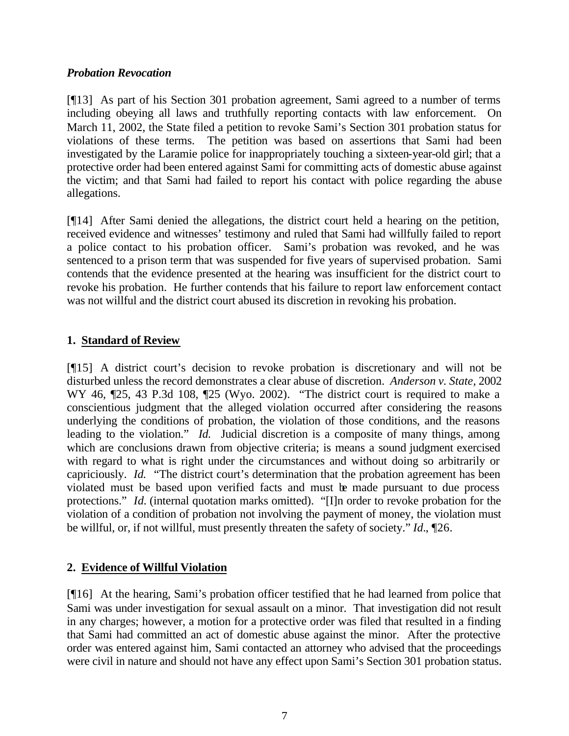## *Probation Revocation*

[¶13] As part of his Section 301 probation agreement, Sami agreed to a number of terms including obeying all laws and truthfully reporting contacts with law enforcement. On March 11, 2002, the State filed a petition to revoke Sami's Section 301 probation status for violations of these terms. The petition was based on assertions that Sami had been investigated by the Laramie police for inappropriately touching a sixteen-year-old girl; that a protective order had been entered against Sami for committing acts of domestic abuse against the victim; and that Sami had failed to report his contact with police regarding the abuse allegations.

[¶14] After Sami denied the allegations, the district court held a hearing on the petition, received evidence and witnesses' testimony and ruled that Sami had willfully failed to report a police contact to his probation officer. Sami's probation was revoked, and he was sentenced to a prison term that was suspended for five years of supervised probation. Sami contends that the evidence presented at the hearing was insufficient for the district court to revoke his probation. He further contends that his failure to report law enforcement contact was not willful and the district court abused its discretion in revoking his probation.

## **1. Standard of Review**

[¶15] A district court's decision to revoke probation is discretionary and will not be disturbed unless the record demonstrates a clear abuse of discretion. *Anderson v. State,* 2002 WY 46,  $\sqrt{25}$ , 43 P.3d 108,  $\sqrt{25}$  (Wyo. 2002). "The district court is required to make a conscientious judgment that the alleged violation occurred after considering the reasons underlying the conditions of probation, the violation of those conditions, and the reasons leading to the violation." *Id.* Judicial discretion is a composite of many things, among which are conclusions drawn from objective criteria; is means a sound judgment exercised with regard to what is right under the circumstances and without doing so arbitrarily or capriciously. *Id.* "The district court's determination that the probation agreement has been violated must be based upon verified facts and must be made pursuant to due process protections." *Id.* (internal quotation marks omitted). "[I]n order to revoke probation for the violation of a condition of probation not involving the payment of money, the violation must be willful, or, if not willful, must presently threaten the safety of society." *Id.*, ¶26.

## **2. Evidence of Willful Violation**

[¶16] At the hearing, Sami's probation officer testified that he had learned from police that Sami was under investigation for sexual assault on a minor. That investigation did not result in any charges; however, a motion for a protective order was filed that resulted in a finding that Sami had committed an act of domestic abuse against the minor. After the protective order was entered against him, Sami contacted an attorney who advised that the proceedings were civil in nature and should not have any effect upon Sami's Section 301 probation status.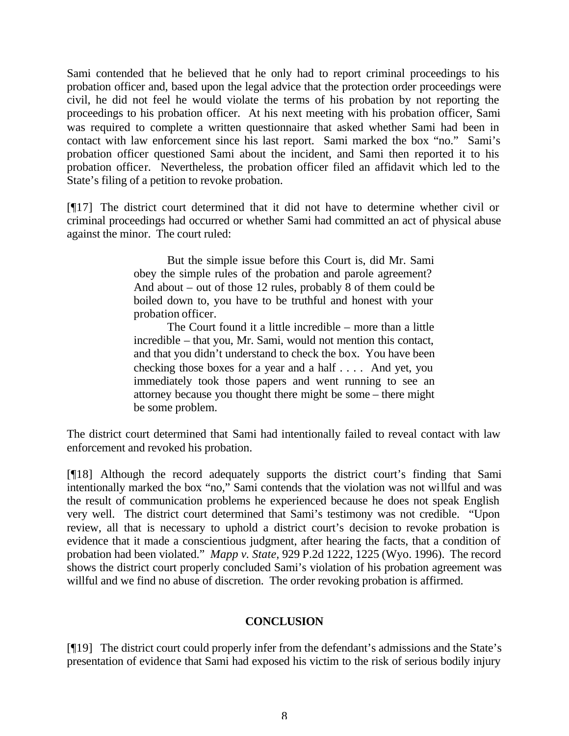Sami contended that he believed that he only had to report criminal proceedings to his probation officer and, based upon the legal advice that the protection order proceedings were civil, he did not feel he would violate the terms of his probation by not reporting the proceedings to his probation officer. At his next meeting with his probation officer, Sami was required to complete a written questionnaire that asked whether Sami had been in contact with law enforcement since his last report. Sami marked the box "no." Sami's probation officer questioned Sami about the incident, and Sami then reported it to his probation officer. Nevertheless, the probation officer filed an affidavit which led to the State's filing of a petition to revoke probation.

[¶17] The district court determined that it did not have to determine whether civil or criminal proceedings had occurred or whether Sami had committed an act of physical abuse against the minor. The court ruled:

> But the simple issue before this Court is, did Mr. Sami obey the simple rules of the probation and parole agreement? And about – out of those 12 rules, probably 8 of them could be boiled down to, you have to be truthful and honest with your probation officer.

> The Court found it a little incredible – more than a little incredible – that you, Mr. Sami, would not mention this contact, and that you didn't understand to check the box. You have been checking those boxes for a year and a half . . . . And yet, you immediately took those papers and went running to see an attorney because you thought there might be some – there might be some problem.

The district court determined that Sami had intentionally failed to reveal contact with law enforcement and revoked his probation.

[¶18] Although the record adequately supports the district court's finding that Sami intentionally marked the box "no," Sami contends that the violation was not willful and was the result of communication problems he experienced because he does not speak English very well. The district court determined that Sami's testimony was not credible. "Upon review, all that is necessary to uphold a district court's decision to revoke probation is evidence that it made a conscientious judgment, after hearing the facts, that a condition of probation had been violated." *Mapp v. State,* 929 P.2d 1222, 1225 (Wyo. 1996). The record shows the district court properly concluded Sami's violation of his probation agreement was willful and we find no abuse of discretion. The order revoking probation is affirmed.

## **CONCLUSION**

[¶19] The district court could properly infer from the defendant's admissions and the State's presentation of evidence that Sami had exposed his victim to the risk of serious bodily injury